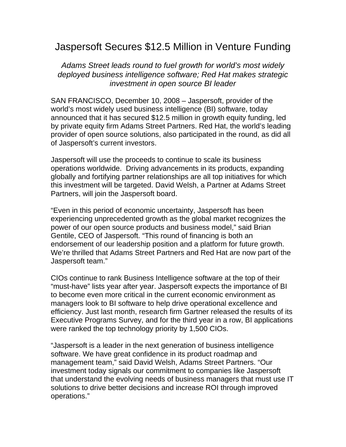## Jaspersoft Secures \$12.5 Million in Venture Funding

*Adams Street leads round to fuel growth for world's most widely deployed business intelligence software; Red Hat makes strategic investment in open source BI leader* 

SAN FRANCISCO, December 10, 2008 – Jaspersoft, provider of the world's most widely used business intelligence (BI) software, today announced that it has secured \$12.5 million in growth equity funding, led by private equity firm Adams Street Partners. Red Hat, the world's leading provider of open source solutions, also participated in the round, as did all of Jaspersoft's current investors.

Jaspersoft will use the proceeds to continue to scale its business operations worldwide. Driving advancements in its products, expanding globally and fortifying partner relationships are all top initiatives for which this investment will be targeted. David Welsh, a Partner at Adams Street Partners, will join the Jaspersoft board.

"Even in this period of economic uncertainty, Jaspersoft has been experiencing unprecedented growth as the global market recognizes the power of our open source products and business model," said Brian Gentile, CEO of Jaspersoft. "This round of financing is both an endorsement of our leadership position and a platform for future growth. We're thrilled that Adams Street Partners and Red Hat are now part of the Jaspersoft team."

CIOs continue to rank Business Intelligence software at the top of their "must-have" lists year after year. Jaspersoft expects the importance of BI to become even more critical in the current economic environment as managers look to BI software to help drive operational excellence and efficiency. Just last month, research firm Gartner released the results of its Executive Programs Survey, and for the third year in a row, BI applications were ranked the top technology priority by 1,500 CIOs.

"Jaspersoft is a leader in the next generation of business intelligence software. We have great confidence in its product roadmap and management team," said David Welsh, Adams Street Partners. "Our investment today signals our commitment to companies like Jaspersoft that understand the evolving needs of business managers that must use IT solutions to drive better decisions and increase ROI through improved operations."